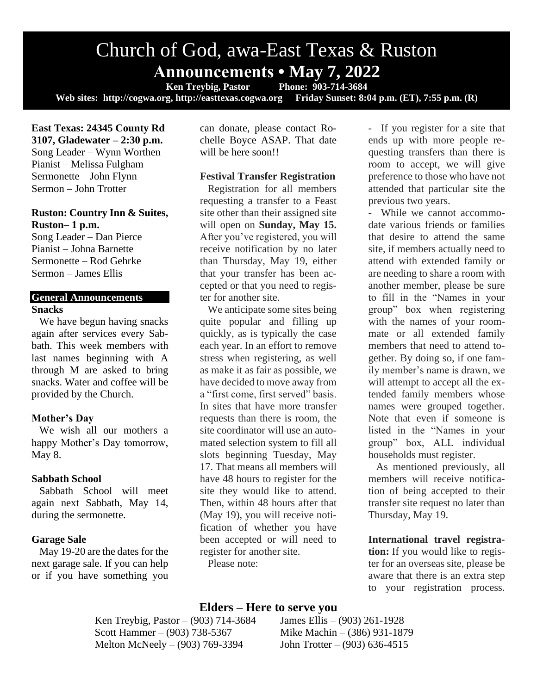# Church of God, awa-East Texas & Ruston **Announcements • May 7, 2022**

**Ken Treybig, Pastor Phone: 903-714-3684 Web sites: http://cogwa.org, http://easttexas.cogwa.org Friday Sunset: 8:04 p.m. (ET), 7:55 p.m. (R)**

**East Texas: 24345 County Rd 3107, Gladewater – 2:30 p.m.** Song Leader – Wynn Worthen Pianist – Melissa Fulgham Sermonette – John Flynn Sermon – John Trotter

## **Ruston: Country Inn & Suites, Ruston– 1 p.m.**

Song Leader – Dan Pierce Pianist – Johna Barnette Sermonette – Rod Gehrke Sermon – James Ellis

## **General Announcements Snacks**

We have begun having snacks again after services every Sabbath. This week members with last names beginning with A through M are asked to bring snacks. Water and coffee will be provided by the Church.

### **Mother's Day**

We wish all our mothers a happy Mother's Day tomorrow, May 8.

### **Sabbath School**

Sabbath School will meet again next Sabbath, May 14, during the sermonette.

# **Garage Sale**

May 19-20 are the dates for the next garage sale. If you can help or if you have something you

can donate, please contact Rochelle Boyce ASAP. That date will be here soon!!

# **Festival Transfer Registration**

Registration for all members requesting a transfer to a Feast site other than their assigned site will open on **Sunday, May 15.** After you've registered, you will receive notification by no later than Thursday, May 19, either that your transfer has been accepted or that you need to register for another site.

We anticipate some sites being quite popular and filling up quickly, as is typically the case each year. In an effort to remove stress when registering, as well as make it as fair as possible, we have decided to move away from a "first come, first served" basis. In sites that have more transfer requests than there is room, the site coordinator will use an automated selection system to fill all slots beginning Tuesday, May 17. That means all members will have 48 hours to register for the site they would like to attend. Then, within 48 hours after that (May 19), you will receive notification of whether you have been accepted or will need to register for another site.

Please note:

- If you register for a site that ends up with more people requesting transfers than there is room to accept, we will give preference to those who have not attended that particular site the previous two years.

- While we cannot accommodate various friends or families that desire to attend the same site, if members actually need to attend with extended family or are needing to share a room with another member, please be sure to fill in the "Names in your group" box when registering with the names of your roommate or all extended family members that need to attend together. By doing so, if one family member's name is drawn, we will attempt to accept all the extended family members whose names were grouped together. Note that even if someone is listed in the "Names in your group" box, ALL individual households must register.

As mentioned previously, all members will receive notification of being accepted to their transfer site request no later than Thursday, May 19.

**International travel registration:** If you would like to register for an overseas site, please be aware that there is an extra step to your registration process.

# **Elders – Here to serve you**

Ken Treybig, Pastor – (903) 714-3684 James Ellis – (903) 261-1928 Scott Hammer – (903) 738-5367 Mike Machin – (386) 931-1879 Melton McNeely – (903) 769-3394 John Trotter – (903) 636-4515